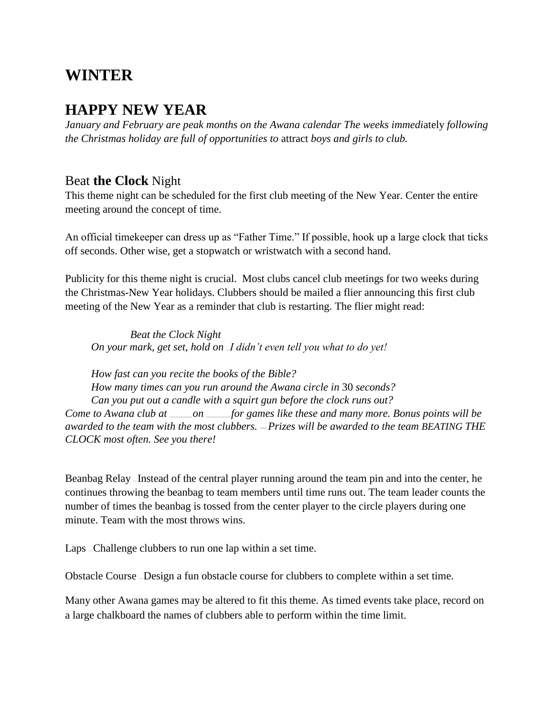# **WINTER**

# **HAPPY NEW YEAR**

*January and February are peak months on the Awana calendar The weeks immedi*ately *following the Christmas holiday are full of opportunities to* attract *boys and girls to club.*

### Beat **the Clock** Night

This theme night can be scheduled for the first club meeting of the New Year. Center the entire meeting around the concept of time.

An official timekeeper can dress up as "Father Time." If possible, hook up a large clock that ticks off seconds. Other wise, get a stopwatch or wristwatch with a second hand.

Publicity for this theme night is crucial. Most clubs cancel club meetings for two weeks during the Christmas-New Year holidays. Clubbers should be mailed a flier announcing this first club meeting of the New Year as a reminder that club is restarting. The flier might read:

*Beat the Clock Night On your mark, get set, hold on I didn't even tell you what to do yet!* 

*How fast can you recite the books of the Bible? How many times can you run around the Awana circle in* 30 *seconds? Can you put out a candle with a squirt gun before the clock runs out? Come to Awana club at* \_\_\_\_\_\_\_\_\_\_\_\_ *on* \_\_\_\_\_\_\_\_\_\_\_\_\_ *for games like these and many more. Bonus points will be awarded to the team with the most clubbers.* — *Prizes will be awarded to the team BEATING THE CLOCK most often. See you there!*

Beanbag Relay — Instead of the central player running around the team pin and into the center, he continues throwing the beanbag to team members until time runs out. The team leader counts the number of times the beanbag is tossed from the center player to the circle players during one minute. Team with the most throws wins.

Laps – Challenge clubbers to run one lap within a set time.

Obstacle Course — Design a fun obstacle course for clubbers to complete within a set time.

Many other Awana games may be altered to fit this theme. As timed events take place, record on a large chalkboard the names of clubbers able to perform within the time limit.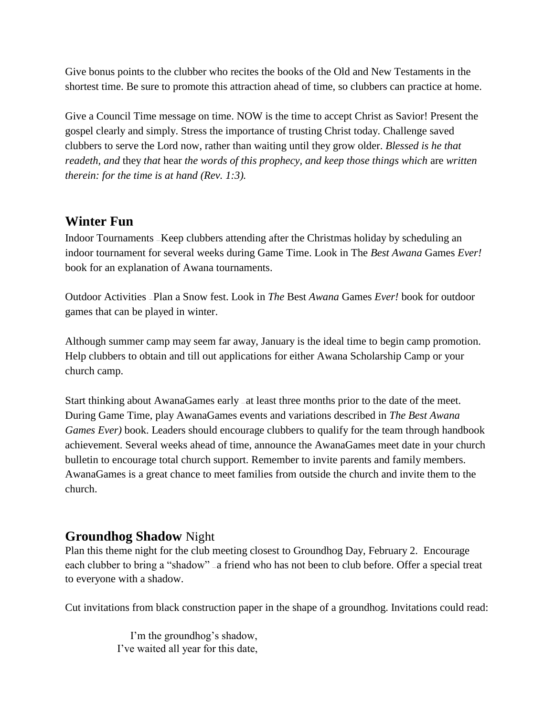Give bonus points to the clubber who recites the books of the Old and New Testaments in the shortest time. Be sure to promote this attraction ahead of time, so clubbers can practice at home.

Give a Council Time message on time. NOW is the time to accept Christ as Savior! Present the gospel clearly and simply. Stress the importance of trusting Christ today. Challenge saved clubbers to serve the Lord now, rather than waiting until they grow older. *Blessed is he that readeth, and* they *that* hear *the words of this prophecy, and keep those things which* are *written therein: for the time is at hand (Rev. 1:3).*

### **Winter Fun**

Indoor Tournaments — Keep clubbers attending after the Christmas holiday by scheduling an indoor tournament for several weeks during Game Time. Look in The *Best Awana* Games *Ever!*  book for an explanation of Awana tournaments.

Outdoor Activities — Plan a Snow fest. Look in *The* Best *Awana* Games *Ever!* book for outdoor games that can be played in winter.

Although summer camp may seem far away, January is the ideal time to begin camp promotion. Help clubbers to obtain and till out applications for either Awana Scholarship Camp or your church camp.

Start thinking about AwanaGames early – at least three months prior to the date of the meet. During Game Time, play AwanaGames events and variations described in *The Best Awana Games Ever)* book. Leaders should encourage clubbers to qualify for the team through handbook achievement. Several weeks ahead of time, announce the AwanaGames meet date in your church bulletin to encourage total church support. Remember to invite parents and family members. AwanaGames is a great chance to meet families from outside the church and invite them to the church.

### **Groundhog Shadow** Night

Plan this theme night for the club meeting closest to Groundhog Day, February 2. Encourage each clubber to bring a "shadow" – a friend who has not been to club before. Offer a special treat to everyone with a shadow.

Cut invitations from black construction paper in the shape of a groundhog. Invitations could read:

I'm the groundhog's shadow, I've waited all year for this date,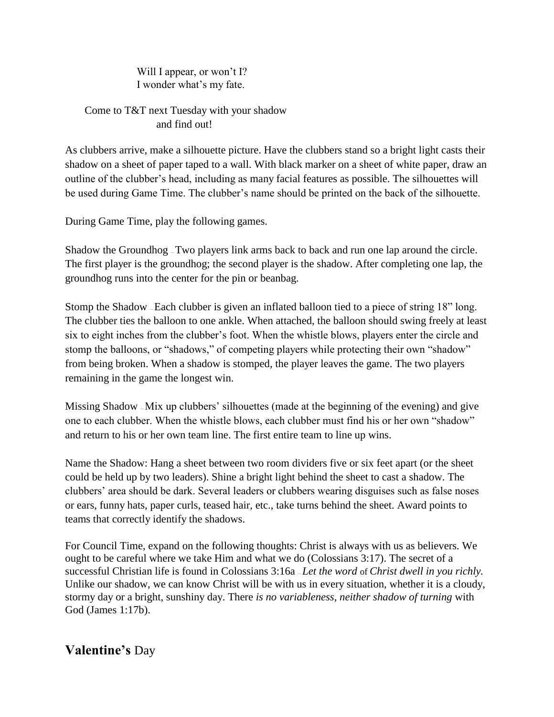Will I appear, or won't I? I wonder what's my fate.

Come to T&T next Tuesday with your shadow and find out!

As clubbers arrive, make a silhouette picture. Have the clubbers stand so a bright light casts their shadow on a sheet of paper taped to a wall. With black marker on a sheet of white paper, draw an outline of the clubber's head, including as many facial features as possible. The silhouettes will be used during Game Time. The clubber's name should be printed on the back of the silhouette.

During Game Time, play the following games.

Shadow the Groundhog — Two players link arms back to back and run one lap around the circle. The first player is the groundhog; the second player is the shadow. After completing one lap, the groundhog runs into the center for the pin or beanbag.

Stomp the Shadow — Each clubber is given an inflated balloon tied to a piece of string 18" long. The clubber ties the balloon to one ankle. When attached, the balloon should swing freely at least six to eight inches from the clubber's foot. When the whistle blows, players enter the circle and stomp the balloons, or "shadows," of competing players while protecting their own "shadow" from being broken. When a shadow is stomped, the player leaves the game. The two players remaining in the game the longest win.

Missing Shadow — Mix up clubbers' silhouettes (made at the beginning of the evening) and give one to each clubber. When the whistle blows, each clubber must find his or her own "shadow" and return to his or her own team line. The first entire team to line up wins.

Name the Shadow: Hang a sheet between two room dividers five or six feet apart (or the sheet could be held up by two leaders). Shine a bright light behind the sheet to cast a shadow. The clubbers' area should be dark. Several leaders or clubbers wearing disguises such as false noses or ears, funny hats, paper curls, teased hair, etc., take turns behind the sheet. Award points to teams that correctly identify the shadows.

For Council Time, expand on the following thoughts: Christ is always with us as believers. We ought to be careful where we take Him and what we do (Colossians 3:17). The secret of a successful Christian life is found in Colossians 3:16a — *Let the word* of *Christ dwell in you richly.*  Unlike our shadow, we can know Christ will be with us in every situation, whether it is a cloudy, stormy day or a bright, sunshiny day. There *is no variableness, neither shadow of turning* with God (James 1:17b).

# **Valentine's** Day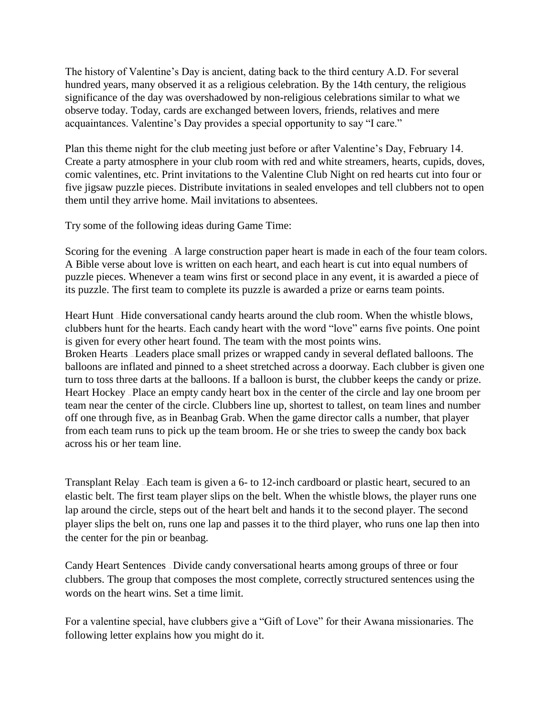The history of Valentine's Day is ancient, dating back to the third century A.D. For several hundred years, many observed it as a religious celebration. By the 14th century, the religious significance of the day was overshadowed by non-religious celebrations similar to what we observe today. Today, cards are exchanged between lovers, friends, relatives and mere acquaintances. Valentine's Day provides a special opportunity to say "I care."

Plan this theme night for the club meeting just before or after Valentine's Day, February 14. Create a party atmosphere in your club room with red and white streamers, hearts, cupids, doves, comic valentines, etc. Print invitations to the Valentine Club Night on red hearts cut into four or five jigsaw puzzle pieces. Distribute invitations in sealed envelopes and tell clubbers not to open them until they arrive home. Mail invitations to absentees.

Try some of the following ideas during Game Time:

Scoring for the evening  $-A$  large construction paper heart is made in each of the four team colors. A Bible verse about love is written on each heart, and each heart is cut into equal numbers of puzzle pieces. Whenever a team wins first or second place in any event, it is awarded a piece of its puzzle. The first team to complete its puzzle is awarded a prize or earns team points.

Heart Hunt — Hide conversational candy hearts around the club room. When the whistle blows, clubbers hunt for the hearts. Each candy heart with the word "love" earns five points. One point is given for every other heart found. The team with the most points wins. Broken Hearts — Leaders place small prizes or wrapped candy in several deflated balloons. The balloons are inflated and pinned to a sheet stretched across a doorway. Each clubber is given one turn to toss three darts at the balloons. If a balloon is burst, the clubber keeps the candy or prize. Heart Hockey — Place an empty candy heart box in the center of the circle and lay one broom per team near the center of the circle. Clubbers line up, shortest to tallest, on team lines and number off one through five, as in Beanbag Grab. When the game director calls a number, that player from each team runs to pick up the team broom. He or she tries to sweep the candy box back across his or her team line.

Transplant Relay — Each team is given a 6- to 12-inch cardboard or plastic heart, secured to an elastic belt. The first team player slips on the belt. When the whistle blows, the player runs one lap around the circle, steps out of the heart belt and hands it to the second player. The second player slips the belt on, runs one lap and passes it to the third player, who runs one lap then into the center for the pin or beanbag.

Candy Heart Sentences — Divide candy conversational hearts among groups of three or four clubbers. The group that composes the most complete, correctly structured sentences using the words on the heart wins. Set a time limit.

For a valentine special, have clubbers give a "Gift of Love" for their Awana missionaries. The following letter explains how you might do it.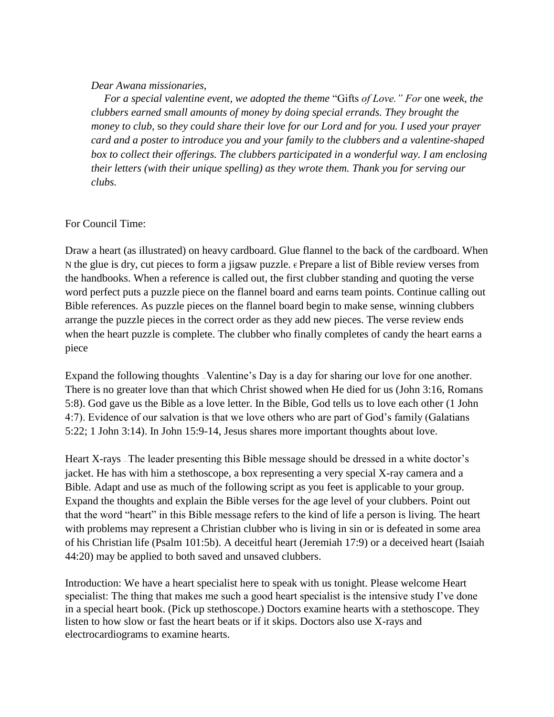#### *Dear Awana missionaries,*

*For a special valentine event, we adopted the theme* "Gifts *of Love." For* one *week, the clubbers earned small amounts of money by doing special errands. They brought the money to club,* so *they could share their love for our Lord and for you. I used your prayer card and a poster to introduce you and your family to the clubbers and a valentine-shaped box to collect their offerings. The clubbers participated in a wonderful way. I am enclosing their letters (with their unique spelling) as they wrote them. Thank you for serving our clubs.*

#### For Council Time:

Draw a heart (as illustrated) on heavy cardboard. Glue flannel to the back of the cardboard. When N the glue is dry, cut pieces to form a jigsaw puzzle.  $\epsilon$  Prepare a list of Bible review verses from the handbooks. When a reference is called out, the first clubber standing and quoting the verse word perfect puts a puzzle piece on the flannel board and earns team points. Continue calling out Bible references. As puzzle pieces on the flannel board begin to make sense, winning clubbers arrange the puzzle pieces in the correct order as they add new pieces. The verse review ends when the heart puzzle is complete. The clubber who finally completes of candy the heart earns a piece

Expand the following thoughts — Valentine's Day is a day for sharing our love for one another. There is no greater love than that which Christ showed when He died for us (John 3:16, Romans 5:8). God gave us the Bible as a love letter. In the Bible, God tells us to love each other (1 John 4:7). Evidence of our salvation is that we love others who are part of God's family (Galatians 5:22; 1 John 3:14). In John 15:9-14, Jesus shares more important thoughts about love.

Heart X-rays — The leader presenting this Bible message should be dressed in a white doctor's jacket. He has with him a stethoscope, a box representing a very special X-ray camera and a Bible. Adapt and use as much of the following script as you feet is applicable to your group. Expand the thoughts and explain the Bible verses for the age level of your clubbers. Point out that the word "heart" in this Bible message refers to the kind of life a person is living. The heart with problems may represent a Christian clubber who is living in sin or is defeated in some area of his Christian life (Psalm 101:5b). A deceitful heart (Jeremiah 17:9) or a deceived heart (Isaiah 44:20) may be applied to both saved and unsaved clubbers.

Introduction: We have a heart specialist here to speak with us tonight. Please welcome Heart specialist: The thing that makes me such a good heart specialist is the intensive study I've done in a special heart book. (Pick up stethoscope.) Doctors examine hearts with a stethoscope. They listen to how slow or fast the heart beats or if it skips. Doctors also use X-rays and electrocardiograms to examine hearts.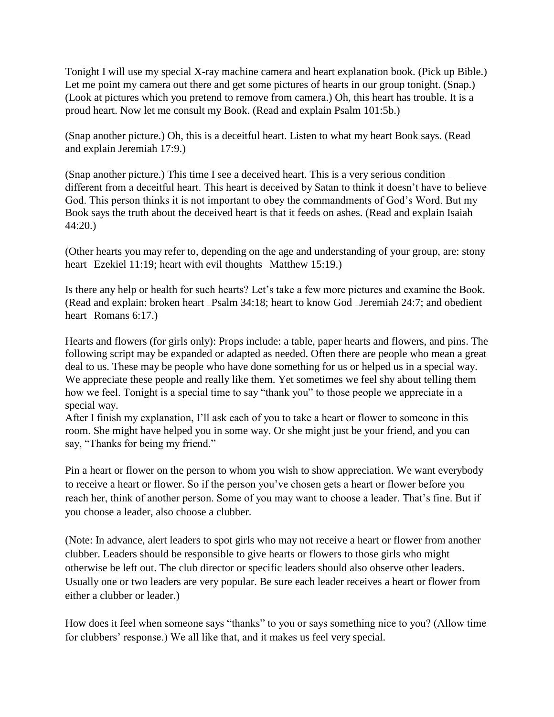Tonight I will use my special X-ray machine camera and heart explanation book. (Pick up Bible.) Let me point my camera out there and get some pictures of hearts in our group tonight. (Snap.) (Look at pictures which you pretend to remove from camera.) Oh, this heart has trouble. It is a proud heart. Now let me consult my Book. (Read and explain Psalm 101:5b.)

(Snap another picture.) Oh, this is a deceitful heart. Listen to what my heart Book says. (Read and explain Jeremiah 17:9.)

(Snap another picture.) This time I see a deceived heart. This is a very serious condition different from a deceitful heart. This heart is deceived by Satan to think it doesn't have to believe God. This person thinks it is not important to obey the commandments of God's Word. But my Book says the truth about the deceived heart is that it feeds on ashes. (Read and explain Isaiah 44:20.)

(Other hearts you may refer to, depending on the age and understanding of your group, are: stony heart - Ezekiel 11:19; heart with evil thoughts - Matthew 15:19.)

Is there any help or health for such hearts? Let's take a few more pictures and examine the Book. (Read and explain: broken heart — Psalm 34:18; heart to know God — Jeremiah 24:7; and obedient heart – Romans 6:17.

Hearts and flowers (for girls only): Props include: a table, paper hearts and flowers, and pins. The following script may be expanded or adapted as needed. Often there are people who mean a great deal to us. These may be people who have done something for us or helped us in a special way. We appreciate these people and really like them. Yet sometimes we feel shy about telling them how we feel. Tonight is a special time to say "thank you" to those people we appreciate in a special way.

After I finish my explanation, I'll ask each of you to take a heart or flower to someone in this room. She might have helped you in some way. Or she might just be your friend, and you can say, "Thanks for being my friend."

Pin a heart or flower on the person to whom you wish to show appreciation. We want everybody to receive a heart or flower. So if the person you've chosen gets a heart or flower before you reach her, think of another person. Some of you may want to choose a leader. That's fine. But if you choose a leader, also choose a clubber.

(Note: In advance, alert leaders to spot girls who may not receive a heart or flower from another clubber. Leaders should be responsible to give hearts or flowers to those girls who might otherwise be left out. The club director or specific leaders should also observe other leaders. Usually one or two leaders are very popular. Be sure each leader receives a heart or flower from either a clubber or leader.)

How does it feel when someone says "thanks" to you or says something nice to you? (Allow time for clubbers' response.) We all like that, and it makes us feel very special.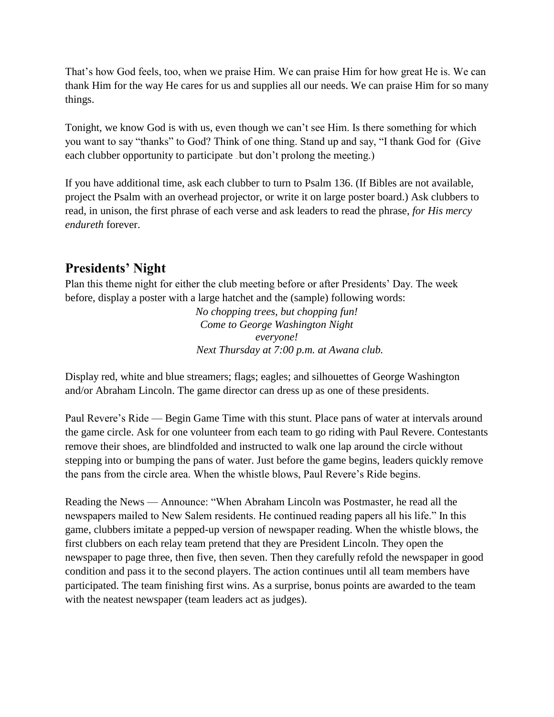That's how God feels, too, when we praise Him. We can praise Him for how great He is. We can thank Him for the way He cares for us and supplies all our needs. We can praise Him for so many things.

Tonight, we know God is with us, even though we can't see Him. Is there something for which you want to say "thanks" to God? Think of one thing. Stand up and say, "I thank God for (Give each clubber opportunity to participate but don't prolong the meeting.)

If you have additional time, ask each clubber to turn to Psalm 136. (If Bibles are not available, project the Psalm with an overhead projector, or write it on large poster board.) Ask clubbers to read, in unison, the first phrase of each verse and ask leaders to read the phrase, *for His mercy endureth* forever.

# **Presidents' Night**

Plan this theme night for either the club meeting before or after Presidents' Day. The week before, display a poster with a large hatchet and the (sample) following words:

> *No chopping trees, but chopping fun! Come to George Washington Night everyone! Next Thursday at 7:00 p.m. at Awana club.*

Display red, white and blue streamers; flags; eagles; and silhouettes of George Washington and/or Abraham Lincoln. The game director can dress up as one of these presidents.

Paul Revere's Ride — Begin Game Time with this stunt. Place pans of water at intervals around the game circle. Ask for one volunteer from each team to go riding with Paul Revere. Contestants remove their shoes, are blindfolded and instructed to walk one lap around the circle without stepping into or bumping the pans of water. Just before the game begins, leaders quickly remove the pans from the circle area. When the whistle blows, Paul Revere's Ride begins.

Reading the News — Announce: "When Abraham Lincoln was Postmaster, he read all the newspapers mailed to New Salem residents. He continued reading papers all his life." In this game, clubbers imitate a pepped-up version of newspaper reading. When the whistle blows, the first clubbers on each relay team pretend that they are President Lincoln. They open the newspaper to page three, then five, then seven. Then they carefully refold the newspaper in good condition and pass it to the second players. The action continues until all team members have participated. The team finishing first wins. As a surprise, bonus points are awarded to the team with the neatest newspaper (team leaders act as judges).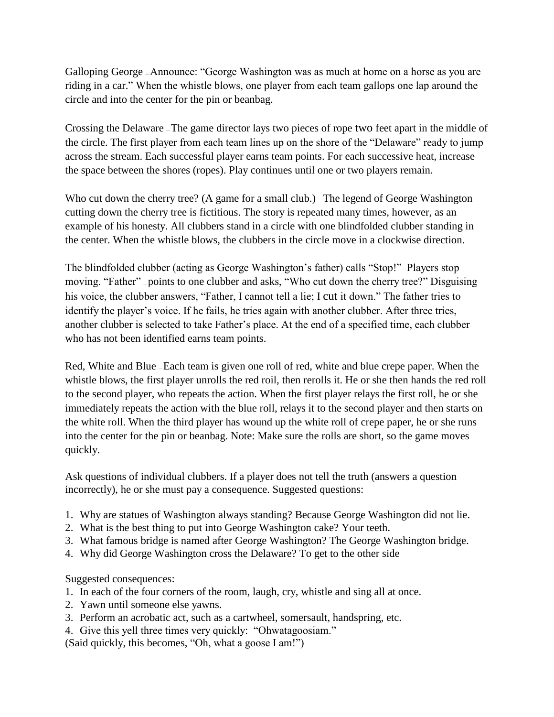Galloping George — Announce: "George Washington was as much at home on a horse as you are riding in a car." When the whistle blows, one player from each team gallops one lap around the circle and into the center for the pin or beanbag.

Crossing the Delaware — The game director lays two pieces of rope two feet apart in the middle of the circle. The first player from each team lines up on the shore of the "Delaware" ready to jump across the stream. Each successful player earns team points. For each successive heat, increase the space between the shores (ropes). Play continues until one or two players remain.

Who cut down the cherry tree? (A game for a small club.) The legend of George Washington cutting down the cherry tree is fictitious. The story is repeated many times, however, as an example of his honesty. All clubbers stand in a circle with one blindfolded clubber standing in the center. When the whistle blows, the clubbers in the circle move in a clockwise direction.

The blindfolded clubber (acting as George Washington's father) calls "Stop!" Players stop moving. "Father" — points to one clubber and asks, "Who cut down the cherry tree?" Disguising his voice, the clubber answers, "Father, I cannot tell a lie; I cut it down." The father tries to identify the player's voice. If he fails, he tries again with another clubber. After three tries, another clubber is selected to take Father's place. At the end of a specified time, each clubber who has not been identified earns team points.

Red, White and Blue - Each team is given one roll of red, white and blue crepe paper. When the whistle blows, the first player unrolls the red roil, then rerolls it. He or she then hands the red roll to the second player, who repeats the action. When the first player relays the first roll, he or she immediately repeats the action with the blue roll, relays it to the second player and then starts on the white roll. When the third player has wound up the white roll of crepe paper, he or she runs into the center for the pin or beanbag. Note: Make sure the rolls are short, so the game moves quickly.

Ask questions of individual clubbers. If a player does not tell the truth (answers a question incorrectly), he or she must pay a consequence. Suggested questions:

- 1. Why are statues of Washington always standing? Because George Washington did not lie.
- 2. What is the best thing to put into George Washington cake? Your teeth.
- 3. What famous bridge is named after George Washington? The George Washington bridge.
- 4. Why did George Washington cross the Delaware? To get to the other side

Suggested consequences:

- 1. In each of the four corners of the room, laugh, cry, whistle and sing all at once.
- 2. Yawn until someone else yawns.
- 3. Perform an acrobatic act, such as a cartwheel, somersault, handspring, etc.
- 4. Give this yell three times very quickly: "Ohwatagoosiam."

(Said quickly, this becomes, "Oh, what a goose I am!")